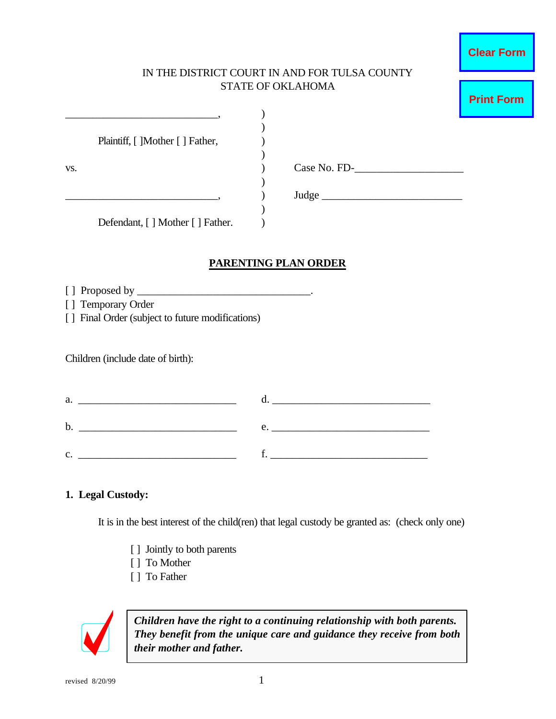#### IN THE DISTRICT COURT IN AND FOR TULSA COUNTY STATE OF OKLAHOMA

|     | Plaintiff, [ ]Mother [ ] Father,  |              |  |
|-----|-----------------------------------|--------------|--|
|     |                                   |              |  |
| VS. |                                   | Case No. FD- |  |
|     |                                   |              |  |
|     |                                   | Judge_       |  |
|     |                                   |              |  |
|     | Defendant, [ ] Mother [ ] Father. |              |  |

### **PARENTING PLAN ORDER**

- [ ] Proposed by \_\_\_\_\_\_\_\_\_\_\_\_\_\_\_\_\_\_\_\_\_\_\_\_\_\_\_\_\_\_\_\_.
- [ ] Temporary Order
- [] Final Order (subject to future modifications)

Children (include date of birth):

a.  $\qquad \qquad \mathrm{d.}$ b. \_\_\_\_\_\_\_\_\_\_\_\_\_\_\_\_\_\_\_\_\_\_\_\_\_\_\_\_\_ e. \_\_\_\_\_\_\_\_\_\_\_\_\_\_\_\_\_\_\_\_\_\_\_\_\_\_\_\_\_ c.  $\Box$ 

#### **1. Legal Custody:**

It is in the best interest of the child(ren) that legal custody be granted as: (check only one)

- [ ] Jointly to both parents
- [ ] To Mother
- [ ] To Father



*Children have the right to a continuing relationship with both parents. They benefit from the unique care and guidance they receive from both their mother and father.*

**Print Form**

**Clear Form**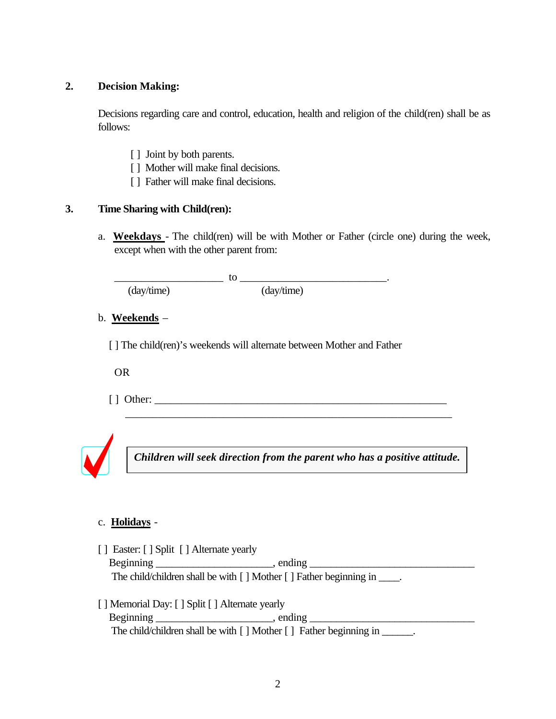### **2. Decision Making:**

Decisions regarding care and control, education, health and religion of the child(ren) shall be as follows:

- [ ] Joint by both parents.
- [ ] Mother will make final decisions.
- [ ] Father will make final decisions.

### **3. Time Sharing with Child(ren):**

a. **Weekdays** - The child(ren) will be with Mother or Father (circle one) during the week, except when with the other parent from:

(day/time) (day/time)

\_\_\_\_\_\_\_\_\_\_\_\_\_\_\_\_\_\_\_\_ to \_\_\_\_\_\_\_\_\_\_\_\_\_\_\_\_\_\_\_\_\_\_\_\_\_\_\_.

b. **Weekends** –

[] The child(ren)'s weekends will alternate between Mother and Father

OR

 $\lceil \; \rceil$  Other:  $\lceil \; \rceil$ 



 $\overline{\phantom{a}}$  , and the contribution of the contribution of the contribution of  $\overline{\phantom{a}}$ 

# c. **Holidays** -

- [ ] Easter: [ ] Split [ ] Alternate yearly Beginning \_\_\_\_\_\_\_\_\_\_\_\_\_\_\_\_\_\_\_\_\_\_, ending \_\_\_\_\_\_\_\_\_\_\_\_\_\_\_\_\_\_\_\_\_\_\_\_\_\_\_\_\_\_\_ The child/children shall be with [ ] Mother [ ] Father beginning in \_\_\_\_\_.
- [ ] Memorial Day: [ ] Split [ ] Alternate yearly Beginning \_\_\_\_\_\_\_\_\_\_\_\_\_\_\_\_\_\_\_\_\_\_, ending \_\_\_\_\_\_\_\_\_\_\_\_\_\_\_\_\_\_\_\_\_\_\_\_\_\_\_\_\_\_\_ The child/children shall be with [ ] Mother [ ] Father beginning in \_\_\_\_\_\_.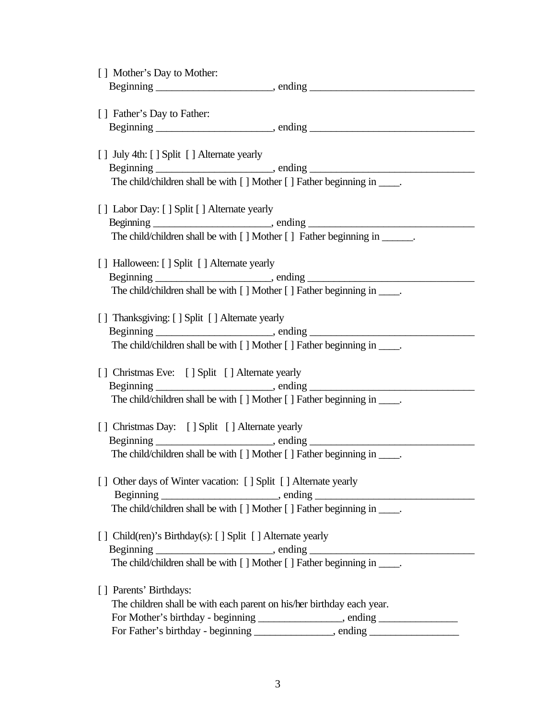| [] Mother's Day to Mother:                                                |                                                                                  |
|---------------------------------------------------------------------------|----------------------------------------------------------------------------------|
|                                                                           |                                                                                  |
| [] Father's Day to Father:                                                |                                                                                  |
|                                                                           |                                                                                  |
|                                                                           |                                                                                  |
| [] July 4th: [] Split [] Alternate yearly                                 |                                                                                  |
|                                                                           |                                                                                  |
| The child/children shall be with [] Mother [] Father beginning in _____.  |                                                                                  |
| [] Labor Day: [] Split [] Alternate yearly                                |                                                                                  |
|                                                                           |                                                                                  |
| The child/children shall be with [] Mother [] Father beginning in ______. |                                                                                  |
|                                                                           |                                                                                  |
| [] Halloween: [] Split [] Alternate yearly                                |                                                                                  |
| The child/children shall be with [] Mother [] Father beginning in _____.  |                                                                                  |
|                                                                           |                                                                                  |
| [] Thanksgiving: [] Split [] Alternate yearly                             |                                                                                  |
|                                                                           |                                                                                  |
| The child/children shall be with [] Mother [] Father beginning in _____.  |                                                                                  |
|                                                                           |                                                                                  |
| [] Christmas Eve: [] Split [] Alternate yearly                            |                                                                                  |
| The child/children shall be with [] Mother [] Father beginning in _____.  |                                                                                  |
|                                                                           |                                                                                  |
| [] Christmas Day: [] Split [] Alternate yearly                            |                                                                                  |
|                                                                           |                                                                                  |
| The child/children shall be with [] Mother [] Father beginning in _____.  |                                                                                  |
| [] Other days of Winter vacation: [] Split [] Alternate yearly            |                                                                                  |
|                                                                           |                                                                                  |
| The child/children shall be with [] Mother [] Father beginning in _____.  |                                                                                  |
|                                                                           |                                                                                  |
| [ ] Child(ren)'s Birthday(s): [ ] Split [ ] Alternate yearly              |                                                                                  |
|                                                                           |                                                                                  |
| The child/children shall be with [] Mother [] Father beginning in _____.  |                                                                                  |
| [] Parents' Birthdays:                                                    |                                                                                  |
| The children shall be with each parent on his/her birthday each year.     |                                                                                  |
|                                                                           | For Mother's birthday - beginning ______________, ending _______________________ |
|                                                                           | For Father's birthday - beginning _____________, ending ________________________ |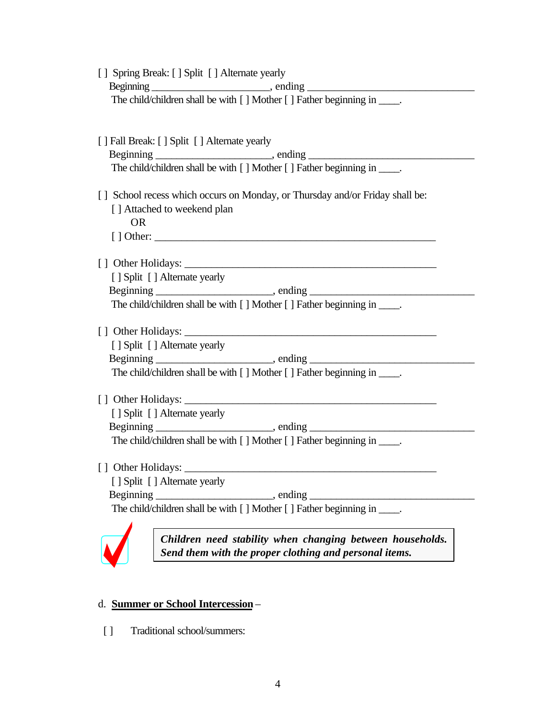| [] Spring Break: [] Split [] Alternate yearly                                |  |  |  |  |
|------------------------------------------------------------------------------|--|--|--|--|
|                                                                              |  |  |  |  |
| The child/children shall be with [] Mother [] Father beginning in _____.     |  |  |  |  |
|                                                                              |  |  |  |  |
|                                                                              |  |  |  |  |
| [ ] Fall Break: [ ] Split [ ] Alternate yearly                               |  |  |  |  |
|                                                                              |  |  |  |  |
| The child/children shall be with [] Mother [] Father beginning in _____.     |  |  |  |  |
|                                                                              |  |  |  |  |
| [] School recess which occurs on Monday, or Thursday and/or Friday shall be: |  |  |  |  |
| [] Attached to weekend plan                                                  |  |  |  |  |
| <b>OR</b>                                                                    |  |  |  |  |
|                                                                              |  |  |  |  |
|                                                                              |  |  |  |  |
| [ ] Split [ ] Alternate yearly                                               |  |  |  |  |
|                                                                              |  |  |  |  |
| The child/children shall be with [] Mother [] Father beginning in _____.     |  |  |  |  |
|                                                                              |  |  |  |  |
|                                                                              |  |  |  |  |
| [ ] Split [ ] Alternate yearly                                               |  |  |  |  |
|                                                                              |  |  |  |  |
| The child/children shall be with [] Mother [] Father beginning in _____.     |  |  |  |  |
|                                                                              |  |  |  |  |
|                                                                              |  |  |  |  |
| [ ] Split [ ] Alternate yearly                                               |  |  |  |  |
|                                                                              |  |  |  |  |
| The child/children shall be with [] Mother [] Father beginning in _____.     |  |  |  |  |
|                                                                              |  |  |  |  |
| [] Other Holidays:                                                           |  |  |  |  |
| [ ] Split [ ] Alternate yearly                                               |  |  |  |  |
| Beginning<br>$\overline{\phantom{a}}$ , ending                               |  |  |  |  |
| The child/children shall be with [] Mother [] Father beginning in _____      |  |  |  |  |
|                                                                              |  |  |  |  |
| Children need stability when changing between households.                    |  |  |  |  |

*Send them with the proper clothing and personal items.*

# d. **Summer or School Intercession** –

 $\sqrt{\phantom{a}}$ 

[ ] Traditional school/summers: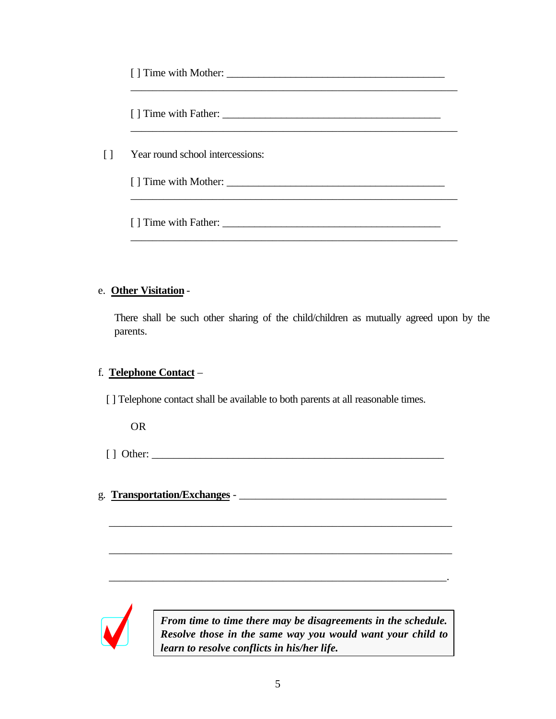| $\Box$ | Year round school intercessions: |  |
|--------|----------------------------------|--|
|        |                                  |  |

#### e. **Other Visitation** -

There shall be such other sharing of the child/children as mutually agreed upon by the parents.

### f. **Telephone Contact** –

[ ] Telephone contact shall be available to both parents at all reasonable times.

OR

[ ] Other: \_\_\_\_\_\_\_\_\_\_\_\_\_\_\_\_\_\_\_\_\_\_\_\_\_\_\_\_\_\_\_\_\_\_\_\_\_\_\_\_\_\_\_\_\_\_\_\_\_\_\_\_\_\_

\_\_\_\_\_\_\_\_\_\_\_\_\_\_\_\_\_\_\_\_\_\_\_\_\_\_\_\_\_\_\_\_\_\_\_\_\_\_\_\_\_\_\_\_\_\_\_\_\_\_\_\_\_\_\_\_\_\_\_\_\_\_\_

\_\_\_\_\_\_\_\_\_\_\_\_\_\_\_\_\_\_\_\_\_\_\_\_\_\_\_\_\_\_\_\_\_\_\_\_\_\_\_\_\_\_\_\_\_\_\_\_\_\_\_\_\_\_\_\_\_\_\_\_\_\_\_

\_\_\_\_\_\_\_\_\_\_\_\_\_\_\_\_\_\_\_\_\_\_\_\_\_\_\_\_\_\_\_\_\_\_\_\_\_\_\_\_\_\_\_\_\_\_\_\_\_\_\_\_\_\_\_\_\_\_\_\_\_\_.

g. **Transportation/Exchanges** - \_\_\_\_\_\_\_\_\_\_\_\_\_\_\_\_\_\_\_\_\_\_\_\_\_\_\_\_\_\_\_\_\_\_\_\_\_\_



*From time to time there may be disagreements in the schedule. Resolve those in the same way you would want your child to learn to resolve conflicts in his/her life.*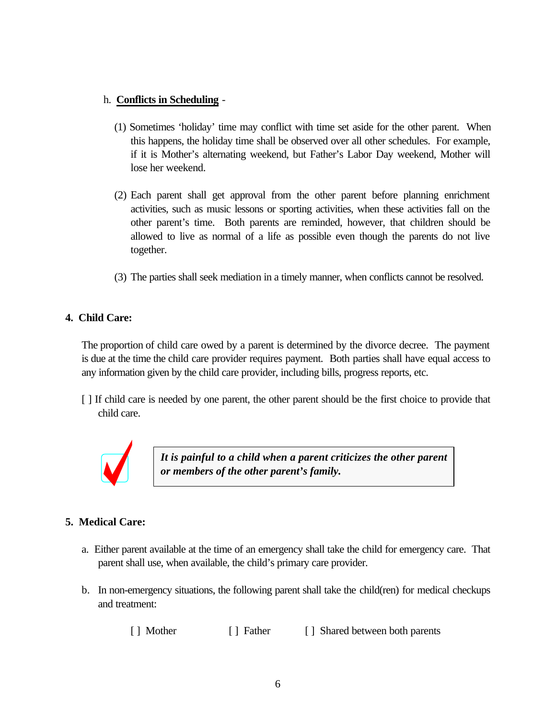### h. **Conflicts in Scheduling** -

- (1) Sometimes 'holiday' time may conflict with time set aside for the other parent. When this happens, the holiday time shall be observed over all other schedules. For example, if it is Mother's alternating weekend, but Father's Labor Day weekend, Mother will lose her weekend.
- (2) Each parent shall get approval from the other parent before planning enrichment activities, such as music lessons or sporting activities, when these activities fall on the other parent's time. Both parents are reminded, however, that children should be allowed to live as normal of a life as possible even though the parents do not live together.
- (3) The parties shall seek mediation in a timely manner, when conflicts cannot be resolved.

### **4. Child Care:**

The proportion of child care owed by a parent is determined by the divorce decree. The payment is due at the time the child care provider requires payment. Both parties shall have equal access to any information given by the child care provider, including bills, progress reports, etc.

[ ] If child care is needed by one parent, the other parent should be the first choice to provide that child care.



*It is painful to a child when a parent criticizes the other parent or members of the other parent's family.*

# **5. Medical Care:**

- a. Either parent available at the time of an emergency shall take the child for emergency care. That parent shall use, when available, the child's primary care provider.
- b. In non-emergency situations, the following parent shall take the child(ren) for medical checkups and treatment:

[ ] Mother [ ] Father [ ] Shared between both parents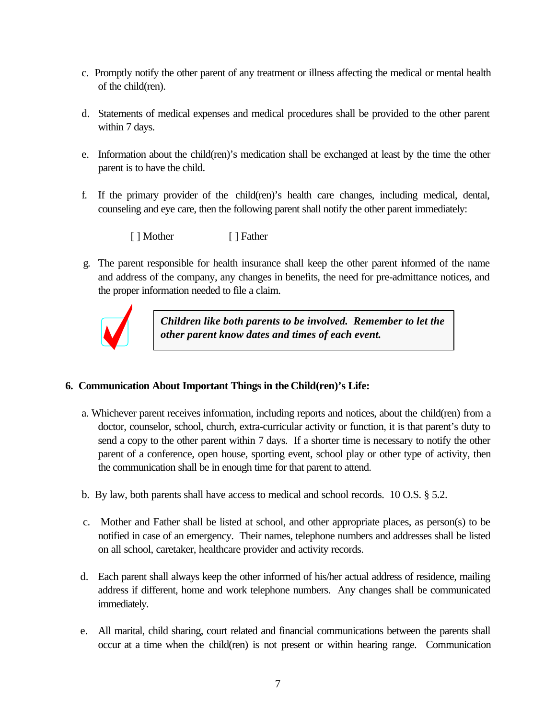- c. Promptly notify the other parent of any treatment or illness affecting the medical or mental health of the child(ren).
- d. Statements of medical expenses and medical procedures shall be provided to the other parent within 7 days.
- e. Information about the child(ren)'s medication shall be exchanged at least by the time the other parent is to have the child.
- f. If the primary provider of the child(ren)'s health care changes, including medical, dental, counseling and eye care, then the following parent shall notify the other parent immediately:

[ ] Mother [ ] Father

 g. The parent responsible for health insurance shall keep the other parent informed of the name and address of the company, any changes in benefits, the need for pre-admittance notices, and the proper information needed to file a claim.



*Children like both parents to be involved. Remember to let the other parent know dates and times of each event.*

### **6. Communication About Important Things in the Child(ren)'s Life:**

- a. Whichever parent receives information, including reports and notices, about the child(ren) from a doctor, counselor, school, church, extra-curricular activity or function, it is that parent's duty to send a copy to the other parent within 7 days. If a shorter time is necessary to notify the other parent of a conference, open house, sporting event, school play or other type of activity, then the communication shall be in enough time for that parent to attend.
- b. By law, both parents shall have access to medical and school records. 10 O.S. § 5.2.
- c. Mother and Father shall be listed at school, and other appropriate places, as person(s) to be notified in case of an emergency. Their names, telephone numbers and addresses shall be listed on all school, caretaker, healthcare provider and activity records.
- d. Each parent shall always keep the other informed of his/her actual address of residence, mailing address if different, home and work telephone numbers. Any changes shall be communicated immediately.
- e. All marital, child sharing, court related and financial communications between the parents shall occur at a time when the child(ren) is not present or within hearing range. Communication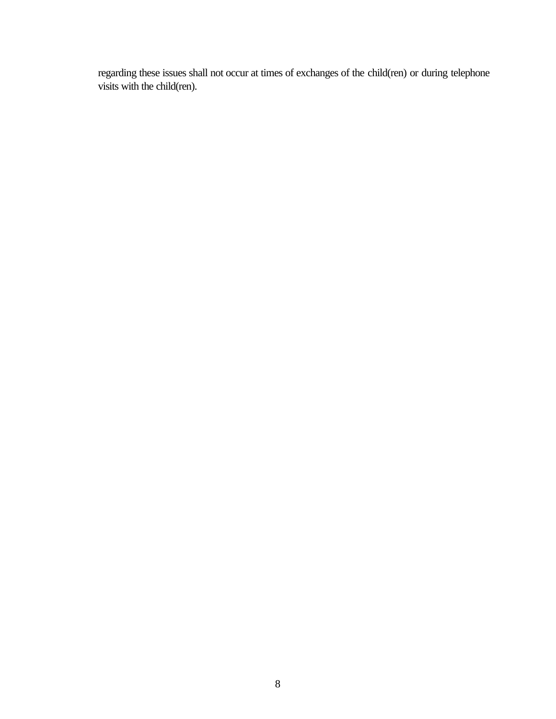regarding these issues shall not occur at times of exchanges of the child(ren) or during telephone visits with the child(ren).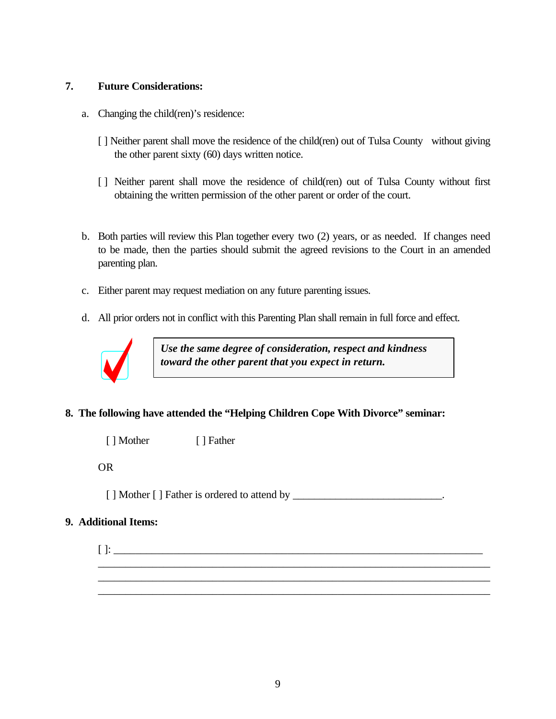#### **7. Future Considerations:**

- a. Changing the child(ren)'s residence:
	- [] Neither parent shall move the residence of the child(ren) out of Tulsa County without giving the other parent sixty (60) days written notice.
	- [ ] Neither parent shall move the residence of child(ren) out of Tulsa County without first obtaining the written permission of the other parent or order of the court.
- b. Both parties will review this Plan together every two (2) years, or as needed. If changes need to be made, then the parties should submit the agreed revisions to the Court in an amended parenting plan.
- c. Either parent may request mediation on any future parenting issues.
- d. All prior orders not in conflict with this Parenting Plan shall remain in full force and effect.



*Use the same degree of consideration, respect and kindness toward the other parent that you expect in return.*

# **8. The following have attended the "Helping Children Cope With Divorce" seminar:**

[ ] Mother [ ] Father

OR

[ ] Mother [ ] Father is ordered to attend by \_\_\_\_\_\_\_\_\_\_\_\_\_\_\_\_\_\_\_\_\_\_\_\_\_\_\_\_\_\_\_\_\_.

### **9. Additional Items:**

[ ]: \_\_\_\_\_\_\_\_\_\_\_\_\_\_\_\_\_\_\_\_\_\_\_\_\_\_\_\_\_\_\_\_\_\_\_\_\_\_\_\_\_\_\_\_\_\_\_\_\_\_\_\_\_\_\_\_\_\_\_\_\_\_\_\_\_\_\_\_ \_\_\_\_\_\_\_\_\_\_\_\_\_\_\_\_\_\_\_\_\_\_\_\_\_\_\_\_\_\_\_\_\_\_\_\_\_\_\_\_\_\_\_\_\_\_\_\_\_\_\_\_\_\_\_\_\_\_\_\_\_\_\_\_\_\_\_\_\_\_\_\_

\_\_\_\_\_\_\_\_\_\_\_\_\_\_\_\_\_\_\_\_\_\_\_\_\_\_\_\_\_\_\_\_\_\_\_\_\_\_\_\_\_\_\_\_\_\_\_\_\_\_\_\_\_\_\_\_\_\_\_\_\_\_\_\_\_\_\_\_\_\_\_\_ \_\_\_\_\_\_\_\_\_\_\_\_\_\_\_\_\_\_\_\_\_\_\_\_\_\_\_\_\_\_\_\_\_\_\_\_\_\_\_\_\_\_\_\_\_\_\_\_\_\_\_\_\_\_\_\_\_\_\_\_\_\_\_\_\_\_\_\_\_\_\_\_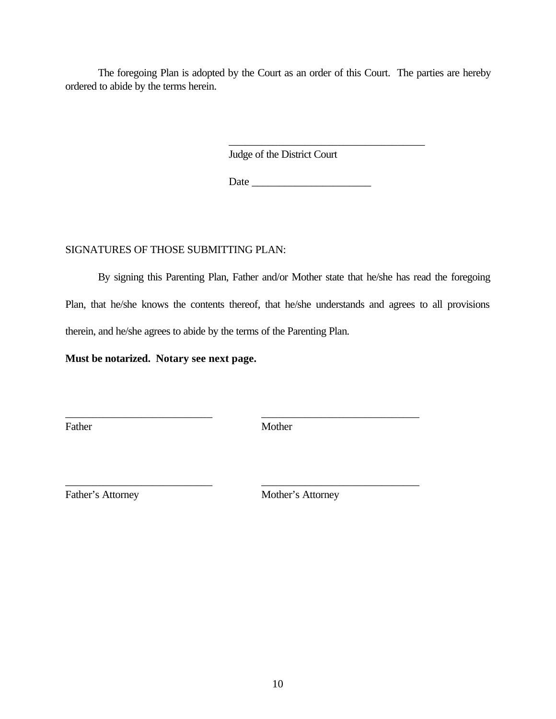The foregoing Plan is adopted by the Court as an order of this Court. The parties are hereby ordered to abide by the terms herein.

Judge of the District Court

Date \_\_\_\_\_\_\_\_\_\_\_\_\_\_\_\_\_\_\_\_\_\_

\_\_\_\_\_\_\_\_\_\_\_\_\_\_\_\_\_\_\_\_\_\_\_\_\_\_\_\_\_\_\_\_\_\_\_\_

### SIGNATURES OF THOSE SUBMITTING PLAN:

By signing this Parenting Plan, Father and/or Mother state that he/she has read the foregoing Plan, that he/she knows the contents thereof, that he/she understands and agrees to all provisions therein, and he/she agrees to abide by the terms of the Parenting Plan.

**Must be notarized. Notary see next page.**

Father Mother

\_\_\_\_\_\_\_\_\_\_\_\_\_\_\_\_\_\_\_\_\_\_\_\_\_\_\_ \_\_\_\_\_\_\_\_\_\_\_\_\_\_\_\_\_\_\_\_\_\_\_\_\_\_\_\_\_

\_\_\_\_\_\_\_\_\_\_\_\_\_\_\_\_\_\_\_\_\_\_\_\_\_\_\_ \_\_\_\_\_\_\_\_\_\_\_\_\_\_\_\_\_\_\_\_\_\_\_\_\_\_\_\_\_

Father's Attorney Mother's Attorney